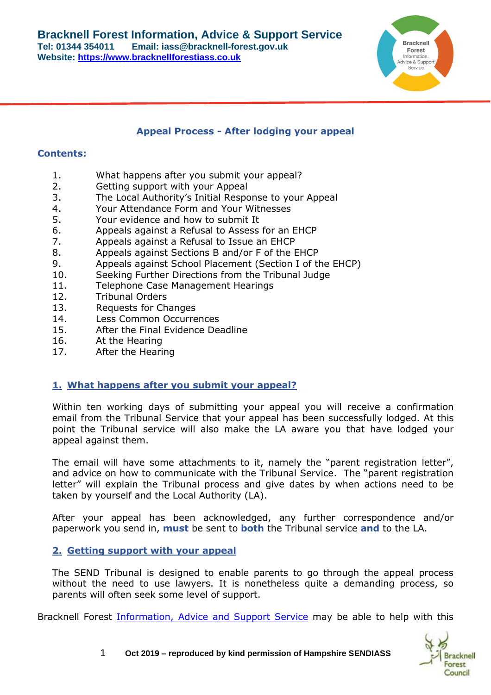

#### **Appeal Process - After lodging your appeal**

#### **Contents:**

- 1. What happens after you submit your appeal?
- 2. Getting support with your Appeal
- 3. The Local Authority's Initial Response to your Appeal
- 4. Your Attendance Form and Your Witnesses
- 5. Your evidence and how to submit It
- 6. Appeals against a Refusal to Assess for an EHCP
- 7. Appeals against a Refusal to Issue an EHCP
- 8. Appeals against Sections B and/or F of the EHCP
- 9. Appeals against School Placement (Section I of the EHCP)
- 10. Seeking Further Directions from the Tribunal Judge
- 11. Telephone Case Management Hearings
- 12. Tribunal Orders
- 13. Requests for Changes
- 14. Less Common Occurrences
- 15. After the Final Evidence Deadline
- 16. At the Hearing
- 17. After the Hearing

## **1. What happens after you submit your appeal?**

Within ten working days of submitting your appeal you will receive a confirmation email from the Tribunal Service that your appeal has been successfully lodged. At this point the Tribunal service will also make the LA aware you that have lodged your appeal against them.

The email will have some attachments to it, namely the "parent registration letter", and advice on how to communicate with the Tribunal Service. The "parent registration letter" will explain the Tribunal process and give dates by when actions need to be taken by yourself and the Local Authority (LA).

After your appeal has been acknowledged, any further correspondence and/or paperwork you send in, **must** be sent to **both** the Tribunal service **and** to the LA.

## **2. Getting support with your appeal**

The SEND Tribunal is designed to enable parents to go through the appeal process without the need to use lawyers. It is nonetheless quite a demanding process, so parents will often seek some level of support.

Bracknell Forest *Information, Advice and Support Service* may be able to help with this

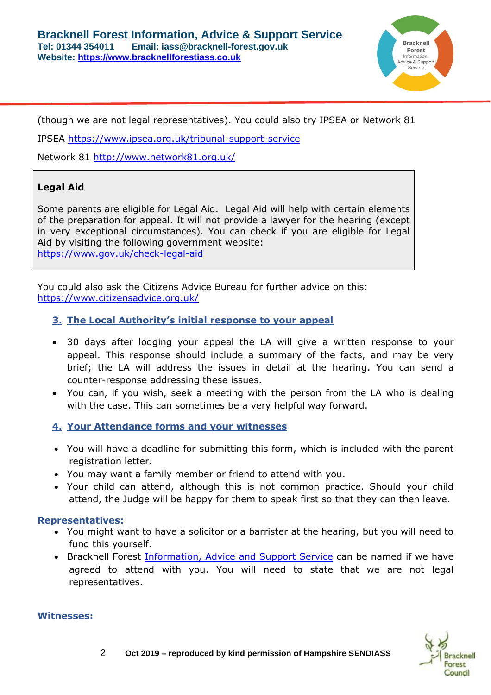

(though we are not legal representatives). You could also try IPSEA or Network 81

IPSEA<https://www.ipsea.org.uk/tribunal-support-service>

Network 81 <http://www.network81.org.uk/>

# **Legal Aid**

Some parents are eligible for Legal Aid. Legal Aid will help with certain elements of the preparation for appeal. It will not provide a lawyer for the hearing (except in very exceptional circumstances). You can check if you are eligible for Legal Aid by visiting the following government website: <https://www.gov.uk/check-legal-aid>

You could also ask the Citizens Advice Bureau for further advice on this: <https://www.citizensadvice.org.uk/>

## **3. The Local Authority's initial response to your appeal**

- 30 days after lodging your appeal the LA will give a written response to your appeal. This response should include a summary of the facts, and may be very brief; the LA will address the issues in detail at the hearing. You can send a counter-response addressing these issues.
- You can, if you wish, seek a meeting with the person from the LA who is dealing with the case. This can sometimes be a very helpful way forward.

## **4. Your Attendance forms and your witnesses**

- You will have a deadline for submitting this form, which is included with the parent registration letter.
- You may want a family member or friend to attend with you.
- Your child can attend, although this is not common practice. Should your child attend, the Judge will be happy for them to speak first so that they can then leave.

#### **Representatives:**

- You might want to have a solicitor or a barrister at the hearing, but you will need to fund this yourself.
- Bracknell Forest *Information, Advice and Support Service* can be named if we have agreed to attend with you. You will need to state that we are not legal representatives.

#### **Witnesses:**

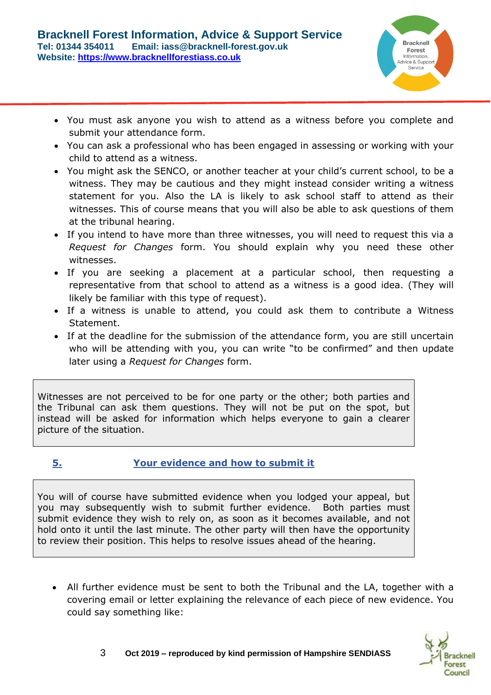

- You must ask anyone you wish to attend as a witness before you complete and submit your attendance form.
- You can ask a professional who has been engaged in assessing or working with your child to attend as a witness.
- You might ask the SENCO, or another teacher at your child's current school, to be a witness. They may be cautious and they might instead consider writing a witness statement for you. Also the LA is likely to ask school staff to attend as their witnesses. This of course means that you will also be able to ask questions of them at the tribunal hearing.
- If you intend to have more than three witnesses, you will need to request this via a *Request for Changes* form. You should explain why you need these other witnesses.
- If you are seeking a placement at a particular school, then requesting a representative from that school to attend as a witness is a good idea. (They will likely be familiar with this type of request).
- If a witness is unable to attend, you could ask them to contribute a Witness Statement.
- If at the deadline for the submission of the attendance form, you are still uncertain who will be attending with you, you can write "to be confirmed" and then update later using a *Request for Changes* form.

Witnesses are not perceived to be for one party or the other; both parties and the Tribunal can ask them questions. They will not be put on the spot, but instead will be asked for information which helps everyone to gain a clearer picture of the situation.

# **5. Your evidence and how to submit it**

You will of course have submitted evidence when you lodged your appeal, but you may subsequently wish to submit further evidence. Both parties must submit evidence they wish to rely on, as soon as it becomes available, and not hold onto it until the last minute. The other party will then have the opportunity to review their position. This helps to resolve issues ahead of the hearing.

• All further evidence must be sent to both the Tribunal and the LA, together with a covering email or letter explaining the relevance of each piece of new evidence. You could say something like:

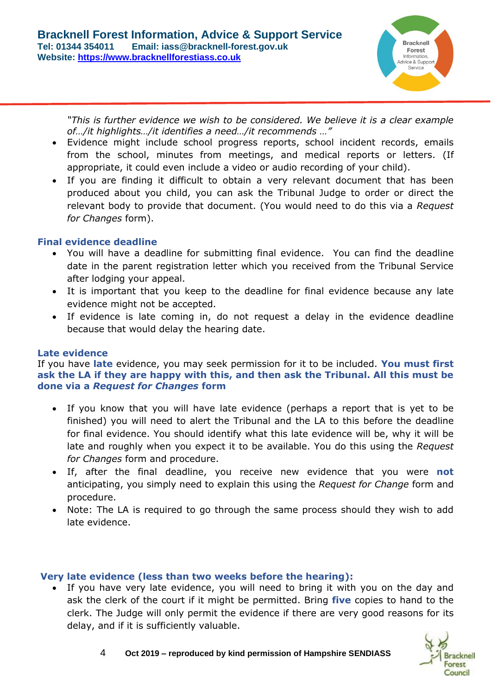

*"This is further evidence we wish to be considered. We believe it is a clear example of…/it highlights…/it identifies a need…/it recommends …"*

- Evidence might include school progress reports, school incident records, emails from the school, minutes from meetings, and medical reports or letters. (If appropriate, it could even include a video or audio recording of your child).
- If you are finding it difficult to obtain a very relevant document that has been produced about you child, you can ask the Tribunal Judge to order or direct the relevant body to provide that document. (You would need to do this via a *Request for Changes* form).

# **Final evidence deadline**

- You will have a deadline for submitting final evidence. You can find the deadline date in the parent registration letter which you received from the Tribunal Service after lodging your appeal.
- It is important that you keep to the deadline for final evidence because any late evidence might not be accepted.
- If evidence is late coming in, do not request a delay in the evidence deadline because that would delay the hearing date.

## **Late evidence**

If you have **late** evidence, you may seek permission for it to be included. **You must first ask the LA if they are happy with this, and then ask the Tribunal. All this must be done via a** *Request for Changes* **form**

- If you know that you will have late evidence (perhaps a report that is yet to be finished) you will need to alert the Tribunal and the LA to this before the deadline for final evidence. You should identify what this late evidence will be, why it will be late and roughly when you expect it to be available. You do this using the *Request for Changes* form and procedure.
- If, after the final deadline, you receive new evidence that you were **not** anticipating, you simply need to explain this using the *Request for Change* form and procedure.
- Note: The LA is required to go through the same process should they wish to add late evidence.

## **Very late evidence (less than two weeks before the hearing):**

• If you have very late evidence, you will need to bring it with you on the day and ask the clerk of the court if it might be permitted. Bring **five** copies to hand to the clerk. The Judge will only permit the evidence if there are very good reasons for its delay, and if it is sufficiently valuable.

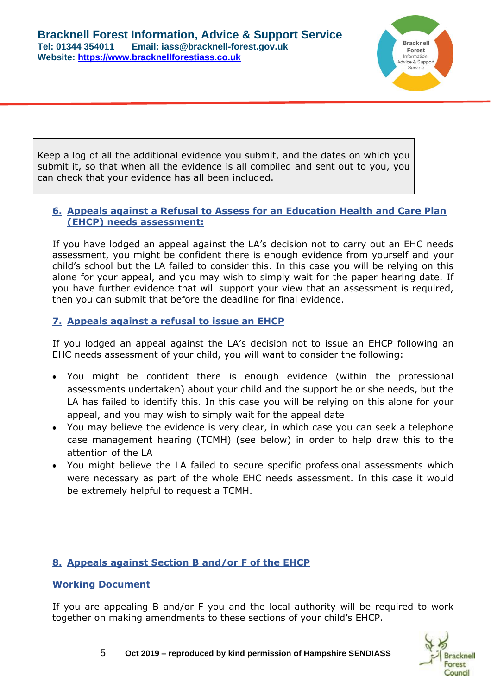

Keep a log of all the additional evidence you submit, and the dates on which you submit it, so that when all the evidence is all compiled and sent out to you, you can check that your evidence has all been included.

# **6. Appeals against a Refusal to Assess for an Education Health and Care Plan (EHCP) needs assessment:**

If you have lodged an appeal against the LA's decision not to carry out an EHC needs assessment, you might be confident there is enough evidence from yourself and your child's school but the LA failed to consider this. In this case you will be relying on this alone for your appeal, and you may wish to simply wait for the paper hearing date. If you have further evidence that will support your view that an assessment is required, then you can submit that before the deadline for final evidence.

# **7. Appeals against a refusal to issue an EHCP**

If you lodged an appeal against the LA's decision not to issue an EHCP following an EHC needs assessment of your child, you will want to consider the following:

- You might be confident there is enough evidence (within the professional assessments undertaken) about your child and the support he or she needs, but the LA has failed to identify this. In this case you will be relying on this alone for your appeal, and you may wish to simply wait for the appeal date
- You may believe the evidence is very clear, in which case you can seek a telephone case management hearing (TCMH) (see below) in order to help draw this to the attention of the LA
- You might believe the LA failed to secure specific professional assessments which were necessary as part of the whole EHC needs assessment. In this case it would be extremely helpful to request a TCMH.

# **8. Appeals against Section B and/or F of the EHCP**

## **Working Document**

If you are appealing B and/or F you and the local authority will be required to work together on making amendments to these sections of your child's EHCP.

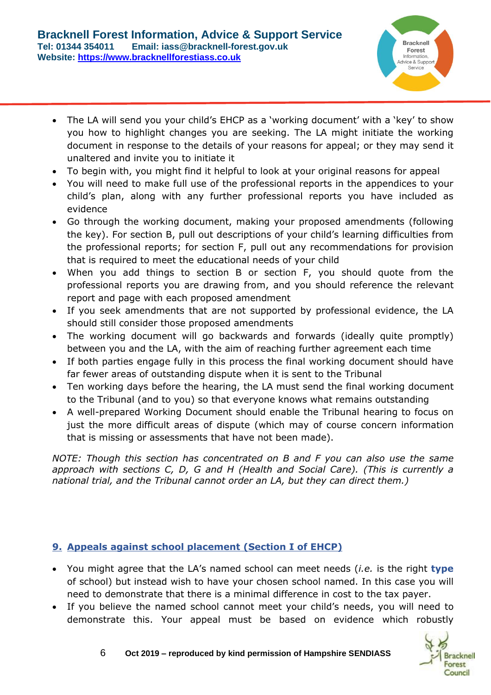

- The LA will send you your child's EHCP as a 'working document' with a 'key' to show you how to highlight changes you are seeking. The LA might initiate the working document in response to the details of your reasons for appeal; or they may send it unaltered and invite you to initiate it
- To begin with, you might find it helpful to look at your original reasons for appeal
- You will need to make full use of the professional reports in the appendices to your child's plan, along with any further professional reports you have included as evidence
- Go through the working document, making your proposed amendments (following the key). For section B, pull out descriptions of your child's learning difficulties from the professional reports; for section F, pull out any recommendations for provision that is required to meet the educational needs of your child
- When you add things to section B or section F, you should quote from the professional reports you are drawing from, and you should reference the relevant report and page with each proposed amendment
- If you seek amendments that are not supported by professional evidence, the LA should still consider those proposed amendments
- The working document will go backwards and forwards (ideally quite promptly) between you and the LA, with the aim of reaching further agreement each time
- If both parties engage fully in this process the final working document should have far fewer areas of outstanding dispute when it is sent to the Tribunal
- Ten working days before the hearing, the LA must send the final working document to the Tribunal (and to you) so that everyone knows what remains outstanding
- A well-prepared Working Document should enable the Tribunal hearing to focus on just the more difficult areas of dispute (which may of course concern information that is missing or assessments that have not been made).

*NOTE: Though this section has concentrated on B and F you can also use the same approach with sections C, D, G and H (Health and Social Care). (This is currently a national trial, and the Tribunal cannot order an LA, but they can direct them.)*

# **9. Appeals against school placement (Section I of EHCP)**

- You might agree that the LA's named school can meet needs (*i.e.* is the right **type**  of school) but instead wish to have your chosen school named. In this case you will need to demonstrate that there is a minimal difference in cost to the tax payer.
- If you believe the named school cannot meet your child's needs, you will need to demonstrate this. Your appeal must be based on evidence which robustly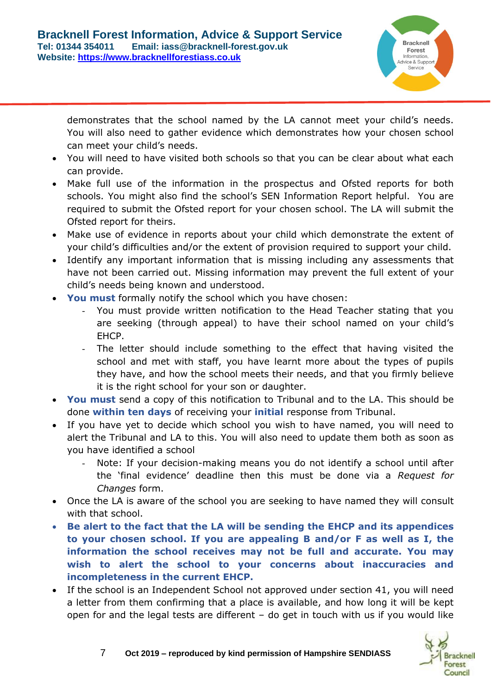

demonstrates that the school named by the LA cannot meet your child's needs. You will also need to gather evidence which demonstrates how your chosen school can meet your child's needs.

- You will need to have visited both schools so that you can be clear about what each can provide.
- Make full use of the information in the prospectus and Ofsted reports for both schools. You might also find the school's SEN Information Report helpful. You are required to submit the Ofsted report for your chosen school. The LA will submit the Ofsted report for theirs.
- Make use of evidence in reports about your child which demonstrate the extent of your child's difficulties and/or the extent of provision required to support your child.
- Identify any important information that is missing including any assessments that have not been carried out. Missing information may prevent the full extent of your child's needs being known and understood.
- **You must** formally notify the school which you have chosen:
	- You must provide written notification to the Head Teacher stating that you are seeking (through appeal) to have their school named on your child's EHCP.
	- The letter should include something to the effect that having visited the school and met with staff, you have learnt more about the types of pupils they have, and how the school meets their needs, and that you firmly believe it is the right school for your son or daughter.
- **You must** send a copy of this notification to Tribunal and to the LA. This should be done **within ten days** of receiving your **initial** response from Tribunal.
- If you have yet to decide which school you wish to have named, you will need to alert the Tribunal and LA to this. You will also need to update them both as soon as you have identified a school
	- Note: If your decision-making means you do not identify a school until after the 'final evidence' deadline then this must be done via a *Request for Changes* form.
- Once the LA is aware of the school you are seeking to have named they will consult with that school.
- **Be alert to the fact that the LA will be sending the EHCP and its appendices to your chosen school. If you are appealing B and/or F as well as I, the information the school receives may not be full and accurate. You may wish to alert the school to your concerns about inaccuracies and incompleteness in the current EHCP.**
- If the school is an Independent School not approved under section 41, you will need a letter from them confirming that a place is available, and how long it will be kept open for and the legal tests are different – do get in touch with us if you would like

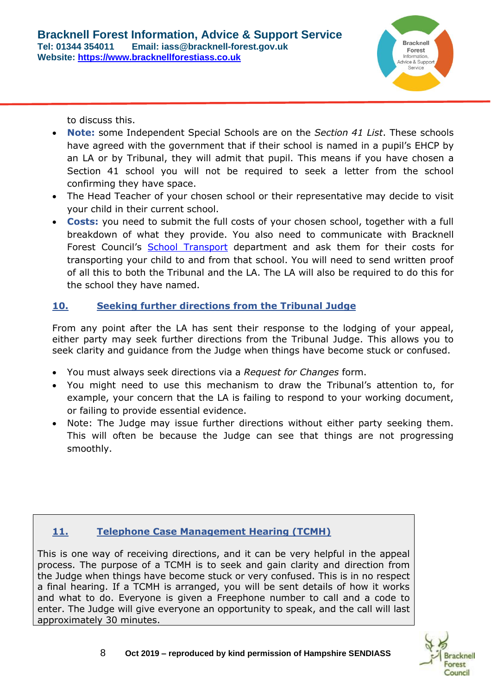

to discuss this.

- **Note:** some Independent Special Schools are on the *Section 41 List*. These schools have agreed with the government that if their school is named in a pupil's EHCP by an LA or by Tribunal, they will admit that pupil. This means if you have chosen a Section 41 school you will not be required to seek a letter from the school confirming they have space.
- The Head Teacher of your chosen school or their representative may decide to visit your child in their current school.
- **Costs:** you need to submit the full costs of your chosen school, together with a full breakdown of what they provide. You also need to communicate with Bracknell Forest Council's [School Transport](https://www.bracknell-forest.gov.uk/schools-and-learning/schools/school-transport) department and ask them for their costs for transporting your child to and from that school. You will need to send written proof of all this to both the Tribunal and the LA. The LA will also be required to do this for the school they have named.

# **10. Seeking further directions from the Tribunal Judge**

From any point after the LA has sent their response to the lodging of your appeal, either party may seek further directions from the Tribunal Judge. This allows you to seek clarity and guidance from the Judge when things have become stuck or confused.

- You must always seek directions via a *Request for Changes* form.
- You might need to use this mechanism to draw the Tribunal's attention to, for example, your concern that the LA is failing to respond to your working document, or failing to provide essential evidence.
- Note: The Judge may issue further directions without either party seeking them. This will often be because the Judge can see that things are not progressing smoothly.

# **11. Telephone Case Management Hearing (TCMH)**

This is one way of receiving directions, and it can be very helpful in the appeal process. The purpose of a TCMH is to seek and gain clarity and direction from the Judge when things have become stuck or very confused. This is in no respect a final hearing. If a TCMH is arranged, you will be sent details of how it works and what to do. Everyone is given a Freephone number to call and a code to enter. The Judge will give everyone an opportunity to speak, and the call will last approximately 30 minutes.

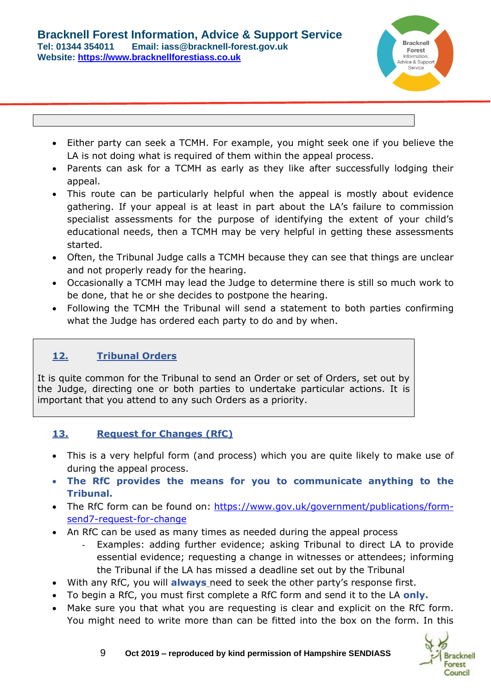

- Either party can seek a TCMH. For example, you might seek one if you believe the LA is not doing what is required of them within the appeal process.
- Parents can ask for a TCMH as early as they like after successfully lodging their appeal.
- This route can be particularly helpful when the appeal is mostly about evidence gathering. If your appeal is at least in part about the LA's failure to commission specialist assessments for the purpose of identifying the extent of your child's educational needs, then a TCMH may be very helpful in getting these assessments started.
- Often, the Tribunal Judge calls a TCMH because they can see that things are unclear and not properly ready for the hearing.
- Occasionally a TCMH may lead the Judge to determine there is still so much work to be done, that he or she decides to postpone the hearing.
- Following the TCMH the Tribunal will send a statement to both parties confirming what the Judge has ordered each party to do and by when.

# **12. Tribunal Orders**

It is quite common for the Tribunal to send an Order or set of Orders, set out by the Judge, directing one or both parties to undertake particular actions. It is important that you attend to any such Orders as a priority.

# **13. Request for Changes (RfC)**

- This is a very helpful form (and process) which you are quite likely to make use of during the appeal process.
- **The RfC provides the means for you to communicate anything to the Tribunal.**
- The RfC form can be found on: [https://www.gov.uk/government/publications/form](https://www.gov.uk/government/publications/form-send7-request-for-change)[send7-request-for-change](https://www.gov.uk/government/publications/form-send7-request-for-change)
- An RfC can be used as many times as needed during the appeal process
	- Examples: adding further evidence; asking Tribunal to direct LA to provide essential evidence; requesting a change in witnesses or attendees; informing the Tribunal if the LA has missed a deadline set out by the Tribunal
- With any RfC, you will **always** need to seek the other party's response first.
- To begin a RfC, you must first complete a RfC form and send it to the LA **only.**
- Make sure you that what you are requesting is clear and explicit on the RfC form. You might need to write more than can be fitted into the box on the form. In this

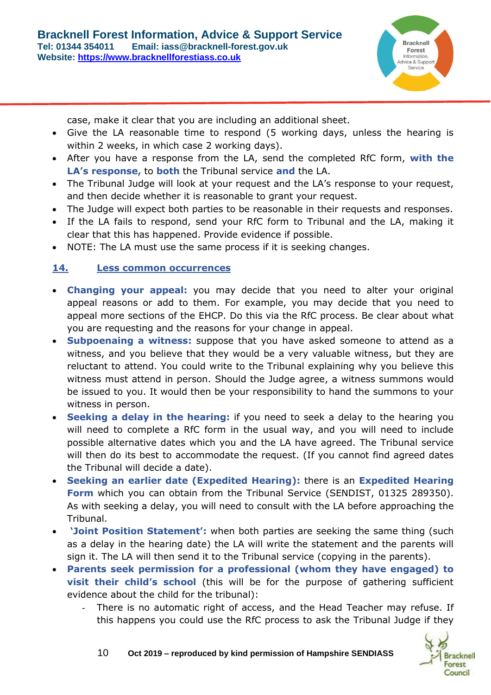

case, make it clear that you are including an additional sheet.

- Give the LA reasonable time to respond (5 working days, unless the hearing is within 2 weeks, in which case 2 working days).
- After you have a response from the LA, send the completed RfC form, **with the LA's response,** to **both** the Tribunal service **and** the LA.
- The Tribunal Judge will look at your request and the LA's response to your request, and then decide whether it is reasonable to grant your request.
- The Judge will expect both parties to be reasonable in their requests and responses.
- If the LA fails to respond, send your RfC form to Tribunal and the LA, making it clear that this has happened. Provide evidence if possible.
- NOTE: The LA must use the same process if it is seeking changes.

# **14. Less common occurrences**

- **Changing your appeal:** you may decide that you need to alter your original appeal reasons or add to them. For example, you may decide that you need to appeal more sections of the EHCP. Do this via the RfC process. Be clear about what you are requesting and the reasons for your change in appeal.
- **Subpoenaing a witness:** suppose that you have asked someone to attend as a witness, and you believe that they would be a very valuable witness, but they are reluctant to attend. You could write to the Tribunal explaining why you believe this witness must attend in person. Should the Judge agree, a witness summons would be issued to you. It would then be your responsibility to hand the summons to your witness in person.
- **Seeking a delay in the hearing:** if you need to seek a delay to the hearing you will need to complete a RfC form in the usual way, and you will need to include possible alternative dates which you and the LA have agreed. The Tribunal service will then do its best to accommodate the request. (If you cannot find agreed dates the Tribunal will decide a date).
- **Seeking an earlier date (Expedited Hearing):** there is an **Expedited Hearing Form** which you can obtain from the Tribunal Service (SENDIST, 01325 289350). As with seeking a delay, you will need to consult with the LA before approaching the Tribunal.
- **'Joint Position Statement':** when both parties are seeking the same thing (such as a delay in the hearing date) the LA will write the statement and the parents will sign it. The LA will then send it to the Tribunal service (copying in the parents).
- **Parents seek permission for a professional (whom they have engaged) to visit their child's school** (this will be for the purpose of gathering sufficient evidence about the child for the tribunal):
	- There is no automatic right of access, and the Head Teacher may refuse. If this happens you could use the RfC process to ask the Tribunal Judge if they

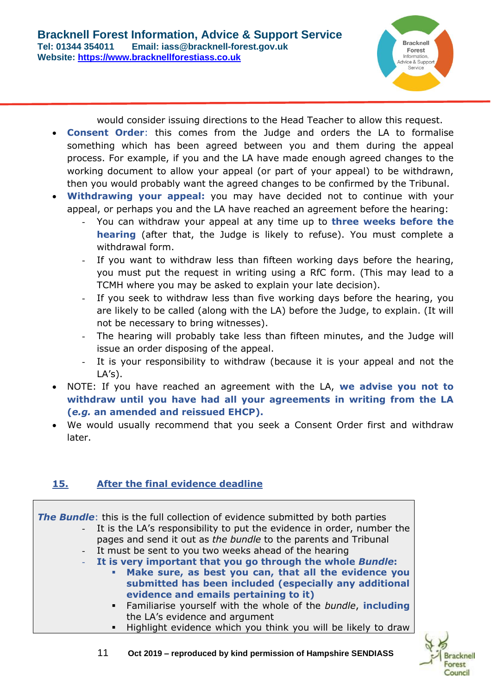would consider issuing directions to the Head Teacher to allow this request.

- **Consent Order**: this comes from the Judge and orders the LA to formalise something which has been agreed between you and them during the appeal process. For example, if you and the LA have made enough agreed changes to the working document to allow your appeal (or part of your appeal) to be withdrawn, then you would probably want the agreed changes to be confirmed by the Tribunal.
- **Withdrawing your appeal:** you may have decided not to continue with your appeal, or perhaps you and the LA have reached an agreement before the hearing:
	- You can withdraw your appeal at any time up to **three weeks before the hearing** (after that, the Judge is likely to refuse). You must complete a withdrawal form.
	- If you want to withdraw less than fifteen working days before the hearing, you must put the request in writing using a RfC form. (This may lead to a TCMH where you may be asked to explain your late decision).
	- If you seek to withdraw less than five working days before the hearing, you are likely to be called (along with the LA) before the Judge, to explain. (It will not be necessary to bring witnesses).
	- The hearing will probably take less than fifteen minutes, and the Judge will issue an order disposing of the appeal.
	- It is your responsibility to withdraw (because it is your appeal and not the  $LA's$ ).
- NOTE: If you have reached an agreement with the LA, **we advise you not to withdraw until you have had all your agreements in writing from the LA (***e.g.* **an amended and reissued EHCP).**
- We would usually recommend that you seek a Consent Order first and withdraw later.

# **15. After the final evidence deadline**

**The Bundle**: this is the full collection of evidence submitted by both parties

- It is the LA's responsibility to put the evidence in order, number the pages and send it out as *the bundle* to the parents and Tribunal It must be sent to you two weeks ahead of the hearing
- **It is very important that you go through the whole** *Bundle***:**
	- Make sure, as best you can, that all the evidence you **submitted has been included (especially any additional evidence and emails pertaining to it)**
		- Familiarise yourself with the whole of the *bundle*, **including** the LA's evidence and argument
		- Highlight evidence which you think you will be likely to draw



11 **Oct 2019 – reproduced by kind permission of Hampshire SENDIASS**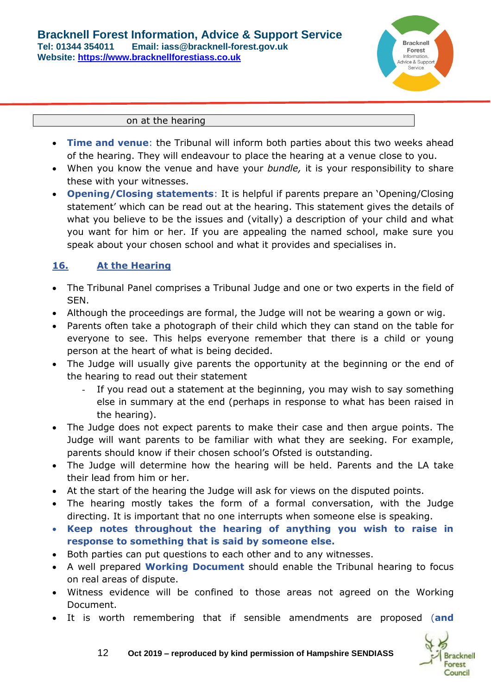

#### on at the hearing

- **Time and venue**: the Tribunal will inform both parties about this two weeks ahead of the hearing. They will endeavour to place the hearing at a venue close to you.
- When you know the venue and have your *bundle,* it is your responsibility to share these with your witnesses.
- **Opening/Closing statements**: It is helpful if parents prepare an 'Opening/Closing statement' which can be read out at the hearing. This statement gives the details of what you believe to be the issues and (vitally) a description of your child and what you want for him or her. If you are appealing the named school, make sure you speak about your chosen school and what it provides and specialises in.

## **16. At the Hearing**

- The Tribunal Panel comprises a Tribunal Judge and one or two experts in the field of SEN.
- Although the proceedings are formal, the Judge will not be wearing a gown or wig.
- Parents often take a photograph of their child which they can stand on the table for everyone to see. This helps everyone remember that there is a child or young person at the heart of what is being decided.
- The Judge will usually give parents the opportunity at the beginning or the end of the hearing to read out their statement
	- If you read out a statement at the beginning, you may wish to say something else in summary at the end (perhaps in response to what has been raised in the hearing).
- The Judge does not expect parents to make their case and then argue points. The Judge will want parents to be familiar with what they are seeking. For example, parents should know if their chosen school's Ofsted is outstanding.
- The Judge will determine how the hearing will be held. Parents and the LA take their lead from him or her.
- At the start of the hearing the Judge will ask for views on the disputed points.
- The hearing mostly takes the form of a formal conversation, with the Judge directing. It is important that no one interrupts when someone else is speaking.
- **Keep notes throughout the hearing of anything you wish to raise in response to something that is said by someone else.**
- Both parties can put questions to each other and to any witnesses.
- A well prepared **Working Document** should enable the Tribunal hearing to focus on real areas of dispute.
- Witness evidence will be confined to those areas not agreed on the Working Document.
- It is worth remembering that if sensible amendments are proposed (**and**